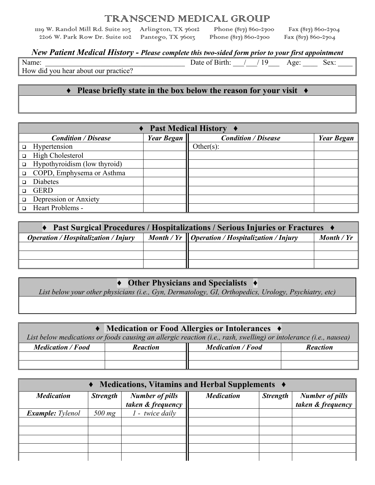# TRANSCEND MEDICAL GROUP<br>Suite 103 Arlington, TX 76012 Phone (817) 860-2700

1119 W. Randol Mill Rd. Suite 103 Arlington, TX 76012 Phone (817) 860-2700 Fax (817) 860-2704<br>2206 W. Park Row Dr. Suite 102 Pantego, TX 76013 Phone (817) 860-2700 Fax (817) 860-2704 2206 W. Park Row Dr. Suite 102

#### *New Patient Medical History - Please complete this two-sided form prior to your first appointment*

Name: Date of Birth:  $/$  / 19 Age: Sex:

How did you hear about our practice?

#### **♦ Please briefly state in the box below the reason for your visit ♦**

|        | Past Medical History ♦       |                   |                            |                   |  |  |
|--------|------------------------------|-------------------|----------------------------|-------------------|--|--|
|        | <b>Condition / Disease</b>   | <b>Year Began</b> | <b>Condition / Disease</b> | <b>Year Began</b> |  |  |
|        | Hypertension                 |                   | Other $(s)$ :              |                   |  |  |
|        | High Cholesterol             |                   |                            |                   |  |  |
| $\Box$ | Hypothyroidism (low thyroid) |                   |                            |                   |  |  |
|        | COPD, Emphysema or Asthma    |                   |                            |                   |  |  |
|        | Diabetes                     |                   |                            |                   |  |  |
|        | <b>GERD</b>                  |                   |                            |                   |  |  |
|        | Depression or Anxiety        |                   |                            |                   |  |  |
|        | Heart Problems -             |                   |                            |                   |  |  |

| Past Surgical Procedures / Hospitalizations / Serious Injuries or Fractures ♦                                           |  |  |  |  |  |
|-------------------------------------------------------------------------------------------------------------------------|--|--|--|--|--|
| Month / $Yr$   Operation / Hospitalization / Injury<br>Month / Yr<br><i><b>Operation / Hospitalization / Injury</b></i> |  |  |  |  |  |
|                                                                                                                         |  |  |  |  |  |
|                                                                                                                         |  |  |  |  |  |
|                                                                                                                         |  |  |  |  |  |

### **♦ Other Physicians and Specialists ♦**

*List below your other physicians (i.e., Gyn, Dermatology, GI, Orthopedics, Urology, Psychiatry, etc)*

| • Medication or Food Allergies or Intolerances •<br>List below medications or foods causing an allergic reaction (i.e., rash, swelling) or intolerance (i.e., nausea) |                 |                          |                 |  |  |  |
|-----------------------------------------------------------------------------------------------------------------------------------------------------------------------|-----------------|--------------------------|-----------------|--|--|--|
|                                                                                                                                                                       |                 |                          |                 |  |  |  |
| <b>Medication</b> / Food                                                                                                                                              | <b>Reaction</b> | <b>Medication</b> / Food | <b>Reaction</b> |  |  |  |
|                                                                                                                                                                       |                 |                          |                 |  |  |  |
|                                                                                                                                                                       |                 |                          |                 |  |  |  |

| • Medications, Vitamins and Herbal Supplements •                                    |          |                 |                   |                 |                                             |  |
|-------------------------------------------------------------------------------------|----------|-----------------|-------------------|-----------------|---------------------------------------------|--|
| <b>Number of pills</b><br><b>Medication</b><br><b>Strength</b><br>taken & frequency |          |                 | <b>Medication</b> | <b>Strength</b> | <b>Number of pills</b><br>taken & frequency |  |
| <b>Example:</b> Tylenol                                                             | $500$ mg | 1 - twice daily |                   |                 |                                             |  |
|                                                                                     |          |                 |                   |                 |                                             |  |
|                                                                                     |          |                 |                   |                 |                                             |  |
|                                                                                     |          |                 |                   |                 |                                             |  |
|                                                                                     |          |                 |                   |                 |                                             |  |
|                                                                                     |          |                 |                   |                 |                                             |  |